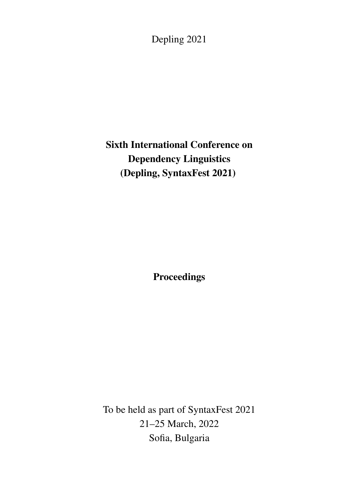Depling 2021

# Sixth International Conference on Dependency Linguistics (Depling, SyntaxFest 2021)

**Proceedings** 

To be held as part of SyntaxFest 2021 21–25 March, 2022 Sofia, Bulgaria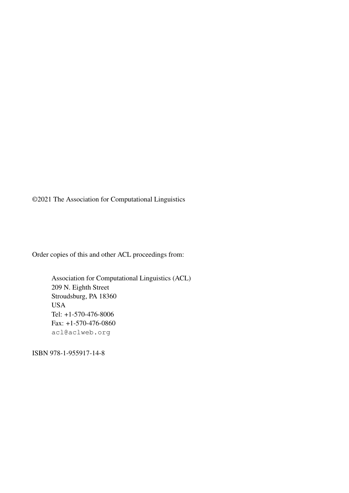©2021 The Association for Computational Linguistics

Order copies of this and other ACL proceedings from:

Association for Computational Linguistics (ACL) 209 N. Eighth Street Stroudsburg, PA 18360 USA Tel: +1-570-476-8006 Fax: +1-570-476-0860 acl@aclweb.org

ISBN 978-1-955917-14-8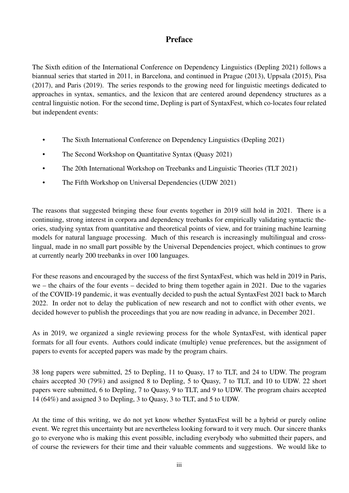### Preface

The Sixth edition of the International Conference on Dependency Linguistics (Depling 2021) follows a biannual series that started in 2011, in Barcelona, and continued in Prague (2013), Uppsala (2015), Pisa (2017), and Paris (2019). The series responds to the growing need for linguistic meetings dedicated to approaches in syntax, semantics, and the lexicon that are centered around dependency structures as a central linguistic notion. For the second time, Depling is part of SyntaxFest, which co-locates four related but independent events:

- The Sixth International Conference on Dependency Linguistics (Depling 2021)
- The Second Workshop on Quantitative Syntax (Quasy 2021)
- The 20th International Workshop on Treebanks and Linguistic Theories (TLT 2021)
- The Fifth Workshop on Universal Dependencies (UDW 2021)

The reasons that suggested bringing these four events together in 2019 still hold in 2021. There is a continuing, strong interest in corpora and dependency treebanks for empirically validating syntactic theories, studying syntax from quantitative and theoretical points of view, and for training machine learning models for natural language processing. Much of this research is increasingly multilingual and crosslingual, made in no small part possible by the Universal Dependencies project, which continues to grow at currently nearly 200 treebanks in over 100 languages.

For these reasons and encouraged by the success of the first SyntaxFest, which was held in 2019 in Paris, we – the chairs of the four events – decided to bring them together again in 2021. Due to the vagaries of the COVID-19 pandemic, it was eventually decided to push the actual SyntaxFest 2021 back to March 2022. In order not to delay the publication of new research and not to conflict with other events, we decided however to publish the proceedings that you are now reading in advance, in December 2021.

As in 2019, we organized a single reviewing process for the whole SyntaxFest, with identical paper formats for all four events. Authors could indicate (multiple) venue preferences, but the assignment of papers to events for accepted papers was made by the program chairs.

38 long papers were submitted, 25 to Depling, 11 to Quasy, 17 to TLT, and 24 to UDW. The program chairs accepted 30 (79%) and assigned 8 to Depling, 5 to Quasy, 7 to TLT, and 10 to UDW. 22 short papers were submitted, 6 to Depling, 7 to Quasy, 9 to TLT, and 9 to UDW. The program chairs accepted 14 (64%) and assigned 3 to Depling, 3 to Quasy, 3 to TLT, and 5 to UDW.

At the time of this writing, we do not yet know whether SyntaxFest will be a hybrid or purely online event. We regret this uncertainty but are nevertheless looking forward to it very much. Our sincere thanks go to everyone who is making this event possible, including everybody who submitted their papers, and of course the reviewers for their time and their valuable comments and suggestions. We would like to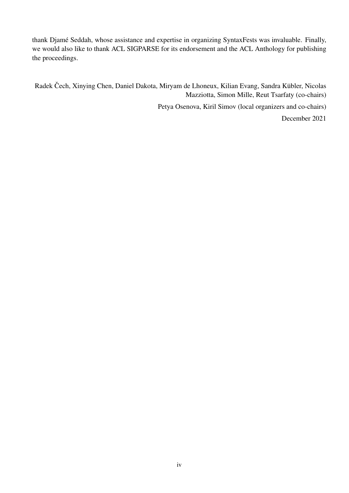thank Djamé Seddah, whose assistance and expertise in organizing SyntaxFests was invaluable. Finally, we would also like to thank ACL SIGPARSE for its endorsement and the ACL Anthology for publishing the proceedings.

Radek Čech, Xinying Chen, Daniel Dakota, Miryam de Lhoneux, Kilian Evang, Sandra Kübler, Nicolas Mazziotta, Simon Mille, Reut Tsarfaty (co-chairs)

Petya Osenova, Kiril Simov (local organizers and co-chairs)

December 2021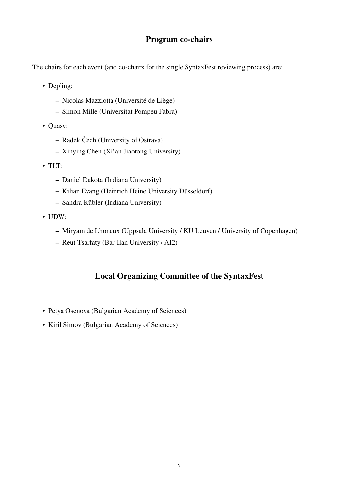#### Program co-chairs

The chairs for each event (and co-chairs for the single SyntaxFest reviewing process) are:

- Depling:
	- Nicolas Mazziotta (Université de Liège)
	- Simon Mille (Universitat Pompeu Fabra)
- Quasy:
	- Radek Čech (University of Ostrava)
	- Xinying Chen (Xi'an Jiaotong University)
- TLT:
	- Daniel Dakota (Indiana University)
	- Kilian Evang (Heinrich Heine University Düsseldorf)
	- Sandra Kübler (Indiana University)
- UDW:
	- Miryam de Lhoneux (Uppsala University / KU Leuven / University of Copenhagen)
	- Reut Tsarfaty (Bar-Ilan University / AI2)

## Local Organizing Committee of the SyntaxFest

- Petya Osenova (Bulgarian Academy of Sciences)
- Kiril Simov (Bulgarian Academy of Sciences)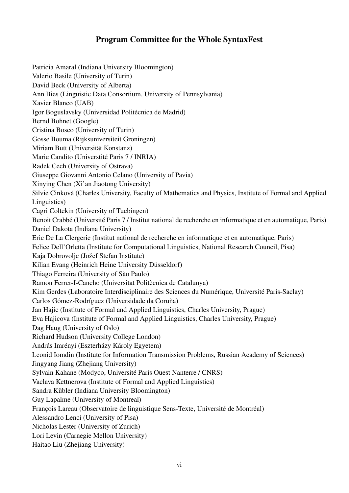### Program Committee for the Whole SyntaxFest

Patricia Amaral (Indiana University Bloomington) Valerio Basile (University of Turin) David Beck (University of Alberta) Ann Bies (Linguistic Data Consortium, University of Pennsylvania) Xavier Blanco (UAB) Igor Boguslavsky (Universidad Politécnica de Madrid) Bernd Bohnet (Google) Cristina Bosco (University of Turin) Gosse Bouma (Rijksuniversiteit Groningen) Miriam Butt (Universität Konstanz) Marie Candito (Universtité Paris 7 / INRIA) Radek Cech (University of Ostrava) Giuseppe Giovanni Antonio Celano (University of Pavia) Xinying Chen (Xi'an Jiaotong University) Silvie Cinková (Charles University, Faculty of Mathematics and Physics, Institute of Formal and Applied Linguistics) Cagri Coltekin (University of Tuebingen) Benoit Crabbé (Université Paris 7 / Institut national de recherche en informatique et en automatique, Paris) Daniel Dakota (Indiana University) Eric De La Clergerie (Institut national de recherche en informatique et en automatique, Paris) Felice Dell'Orletta (Institute for Computational Linguistics, National Research Council, Pisa) Kaja Dobrovoljc (Jožef Stefan Institute) Kilian Evang (Heinrich Heine University Düsseldorf) Thiago Ferreira (University of São Paulo) Ramon Ferrer-I-Cancho (Universitat Politècnica de Catalunya) Kim Gerdes (Laboratoire Interdisciplinaire des Sciences du Numérique, Université Paris-Saclay) Carlos Gómez-Rodríguez (Universidade da Coruña) Jan Hajic (Institute of Formal and Applied Linguistics, Charles University, Prague) Eva Hajicova (Institute of Formal and Applied Linguistics, Charles University, Prague) Dag Haug (University of Oslo) Richard Hudson (University College London) András Imrényi (Eszterházy Károly Egyetem) Leonid Iomdin (Institute for Information Transmission Problems, Russian Academy of Sciences) Jingyang Jiang (Zhejiang University) Sylvain Kahane (Modyco, Université Paris Ouest Nanterre / CNRS) Vaclava Kettnerova (Institute of Formal and Applied Linguistics) Sandra Kübler (Indiana University Bloomington) Guy Lapalme (University of Montreal) François Lareau (Observatoire de linguistique Sens-Texte, Université de Montréal) Alessandro Lenci (University of Pisa) Nicholas Lester (University of Zurich) Lori Levin (Carnegie Mellon University) Haitao Liu (Zhejiang University)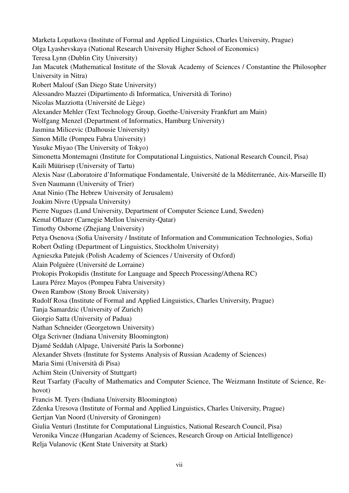Marketa Lopatkova (Institute of Formal and Applied Linguistics, Charles University, Prague) Olga Lyashevskaya (National Research University Higher School of Economics) Teresa Lynn (Dublin City University) Jan Macutek (Mathematical Institute of the Slovak Academy of Sciences / Constantine the Philosopher University in Nitra) Robert Malouf (San Diego State University) Alessandro Mazzei (Dipartimento di Informatica, Università di Torino) Nicolas Mazziotta (Université de Liège) Alexander Mehler (Text Technology Group, Goethe-University Frankfurt am Main) Wolfgang Menzel (Department of Informatics, Hamburg University) Jasmina Milicevic (Dalhousie University) Simon Mille (Pompeu Fabra University) Yusuke Miyao (The University of Tokyo) Simonetta Montemagni (Institute for Computational Linguistics, National Research Council, Pisa) Kaili Müürisep (University of Tartu) Alexis Nasr (Laboratoire d'Informatique Fondamentale, Université de la Méditerranée, Aix-Marseille II) Sven Naumann (University of Trier) Anat Ninio (The Hebrew University of Jerusalem) Joakim Nivre (Uppsala University) Pierre Nugues (Lund University, Department of Computer Science Lund, Sweden) Kemal Oflazer (Carnegie Mellon University-Qatar) Timothy Osborne (Zhejiang University) Petya Osenova (Sofia University / Institute of Information and Communication Technologies, Sofia) Robert Östling (Department of Linguistics, Stockholm University) Agnieszka Patejuk (Polish Academy of Sciences / University of Oxford) Alain Polguère (Université de Lorraine) Prokopis Prokopidis (Institute for Language and Speech Processing/Athena RC) Laura Pérez Mayos (Pompeu Fabra University) Owen Rambow (Stony Brook University) Rudolf Rosa (Institute of Formal and Applied Linguistics, Charles University, Prague) Tanja Samardzic (University of Zurich) Giorgio Satta (University of Padua) Nathan Schneider (Georgetown University) Olga Scrivner (Indiana University Bloomington) Djamé Seddah (Alpage, Université Paris la Sorbonne) Alexander Shvets (Institute for Systems Analysis of Russian Academy of Sciences) Maria Simi (Università di Pisa) Achim Stein (University of Stuttgart) Reut Tsarfaty (Faculty of Mathematics and Computer Science, The Weizmann Institute of Science, Rehovot) Francis M. Tyers (Indiana University Bloomington) Zdenka Uresova (Institute of Formal and Applied Linguistics, Charles University, Prague) Gertjan Van Noord (University of Groningen) Giulia Venturi (Institute for Computational Linguistics, National Research Council, Pisa) Veronika Vincze (Hungarian Academy of Sciences, Research Group on Articial Intelligence) Relja Vulanovic (Kent State University at Stark)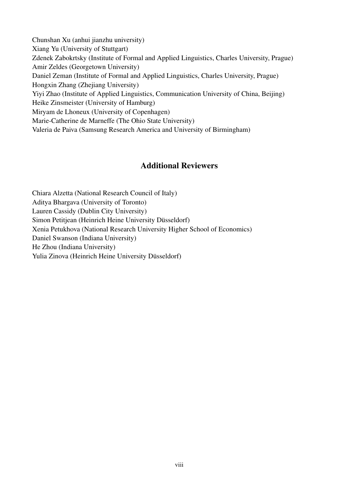Chunshan Xu (anhui jianzhu university) Xiang Yu (University of Stuttgart) Zdenek Zabokrtsky (Institute of Formal and Applied Linguistics, Charles University, Prague) Amir Zeldes (Georgetown University) Daniel Zeman (Institute of Formal and Applied Linguistics, Charles University, Prague) Hongxin Zhang (Zhejiang University) Yiyi Zhao (Institute of Applied Linguistics, Communication University of China, Beijing) Heike Zinsmeister (University of Hamburg) Miryam de Lhoneux (University of Copenhagen) Marie-Catherine de Marneffe (The Ohio State University) Valeria de Paiva (Samsung Research America and University of Birmingham)

#### Additional Reviewers

Chiara Alzetta (National Research Council of Italy) Aditya Bhargava (University of Toronto) Lauren Cassidy (Dublin City University) Simon Petitjean (Heinrich Heine University Düsseldorf) Xenia Petukhova (National Research University Higher School of Economics) Daniel Swanson (Indiana University) He Zhou (Indiana University) Yulia Zinova (Heinrich Heine University Düsseldorf)